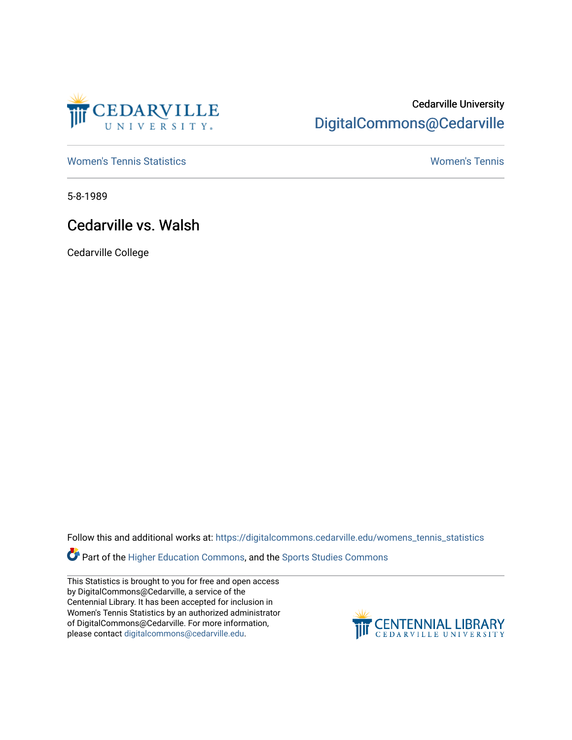

## Cedarville University [DigitalCommons@Cedarville](https://digitalcommons.cedarville.edu/)

[Women's Tennis Statistics](https://digitalcommons.cedarville.edu/womens_tennis_statistics) [Women's Tennis](https://digitalcommons.cedarville.edu/womens_tennis) 

5-8-1989

## Cedarville vs. Walsh

Cedarville College

Follow this and additional works at: [https://digitalcommons.cedarville.edu/womens\\_tennis\\_statistics](https://digitalcommons.cedarville.edu/womens_tennis_statistics?utm_source=digitalcommons.cedarville.edu%2Fwomens_tennis_statistics%2F94&utm_medium=PDF&utm_campaign=PDFCoverPages) 

**Part of the [Higher Education Commons,](http://network.bepress.com/hgg/discipline/1245?utm_source=digitalcommons.cedarville.edu%2Fwomens_tennis_statistics%2F94&utm_medium=PDF&utm_campaign=PDFCoverPages) and the Sports Studies Commons** 

This Statistics is brought to you for free and open access by DigitalCommons@Cedarville, a service of the Centennial Library. It has been accepted for inclusion in Women's Tennis Statistics by an authorized administrator of DigitalCommons@Cedarville. For more information, please contact [digitalcommons@cedarville.edu](mailto:digitalcommons@cedarville.edu).